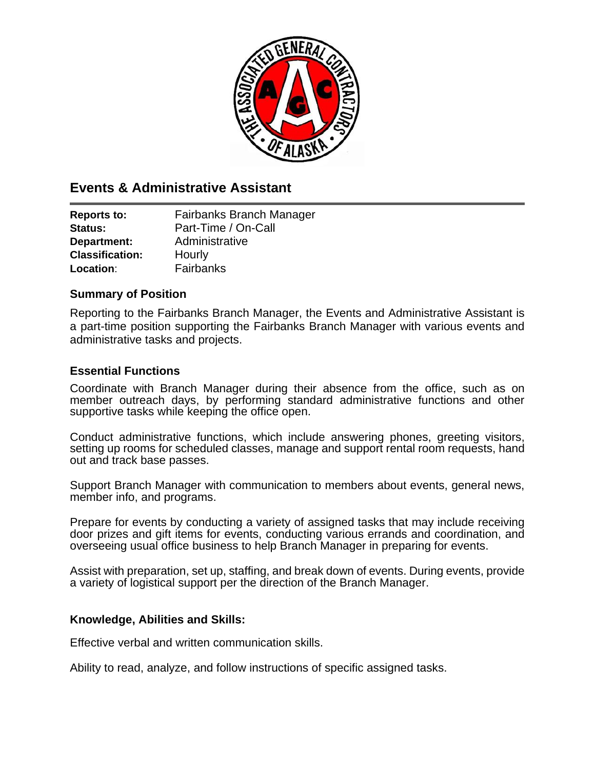

# **Events & Administrative Assistant**

| <b>Reports to:</b>     | Fairbanks Branch Manager |  |
|------------------------|--------------------------|--|
| Status:                | Part-Time / On-Call      |  |
| Department:            | Administrative           |  |
| <b>Classification:</b> | Hourly                   |  |
| Location:              | Fairbanks                |  |

## **Summary of Position**

Reporting to the Fairbanks Branch Manager, the Events and Administrative Assistant is a part-time position supporting the Fairbanks Branch Manager with various events and administrative tasks and projects.

# **Essential Functions**

Coordinate with Branch Manager during their absence from the office, such as on member outreach days, by performing standard administrative functions and other supportive tasks while keeping the office open.

Conduct administrative functions, which include answering phones, greeting visitors, setting up rooms for scheduled classes, manage and support rental room requests, hand out and track base passes.

Support Branch Manager with communication to members about events, general news, member info, and programs.

Prepare for events by conducting a variety of assigned tasks that may include receiving door prizes and gift items for events, conducting various errands and coordination, and overseeing usual office business to help Branch Manager in preparing for events.

Assist with preparation, set up, staffing, and break down of events. During events, provide a variety of logistical support per the direction of the Branch Manager.

### **Knowledge, Abilities and Skills:**

Effective verbal and written communication skills.

Ability to read, analyze, and follow instructions of specific assigned tasks.